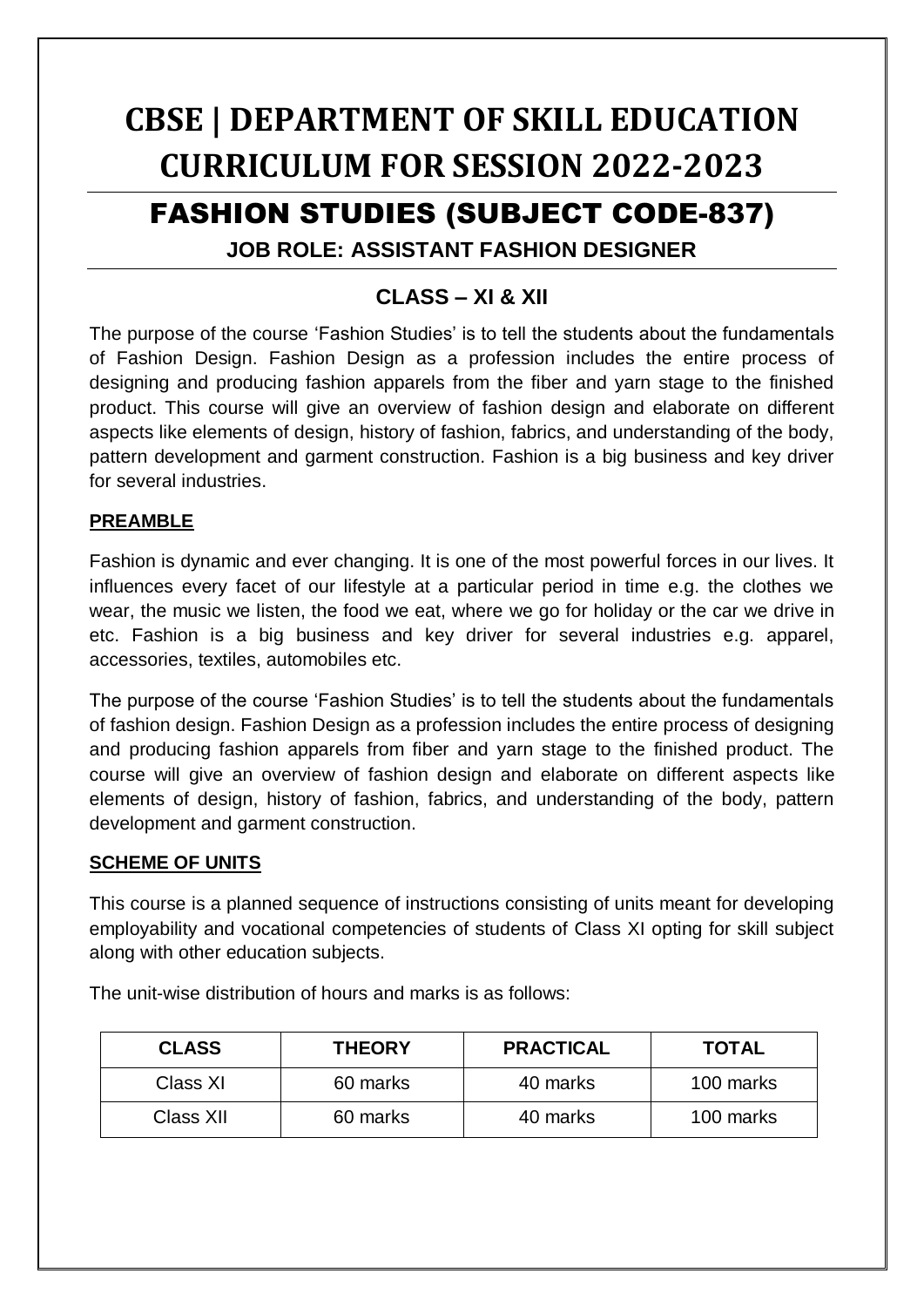# **CBSE | DEPARTMENT OF SKILL EDUCATION CURRICULUM FOR SESSION 2022-2023**

# FASHION STUDIES (SUBJECT CODE-837)

# **JOB ROLE: ASSISTANT FASHION DESIGNER**

# **CLASS – XI & XII**

The purpose of the course 'Fashion Studies' is to tell the students about the fundamentals of Fashion Design. Fashion Design as a profession includes the entire process of designing and producing fashion apparels from the fiber and yarn stage to the finished product. This course will give an overview of fashion design and elaborate on different aspects like elements of design, history of fashion, fabrics, and understanding of the body, pattern development and garment construction. Fashion is a big business and key driver for several industries.

# **PREAMBLE**

Fashion is dynamic and ever changing. It is one of the most powerful forces in our lives. It influences every facet of our lifestyle at a particular period in time e.g. the clothes we wear, the music we listen, the food we eat, where we go for holiday or the car we drive in etc. Fashion is a big business and key driver for several industries e.g. apparel, accessories, textiles, automobiles etc.

The purpose of the course 'Fashion Studies' is to tell the students about the fundamentals of fashion design. Fashion Design as a profession includes the entire process of designing and producing fashion apparels from fiber and yarn stage to the finished product. The course will give an overview of fashion design and elaborate on different aspects like elements of design, history of fashion, fabrics, and understanding of the body, pattern development and garment construction.

# **SCHEME OF UNITS**

This course is a planned sequence of instructions consisting of units meant for developing employability and vocational competencies of students of Class XI opting for skill subject along with other education subjects.

| <b>CLASS</b> | <b>THEORY</b> | <b>PRACTICAL</b> | <b>TOTAL</b> |
|--------------|---------------|------------------|--------------|
| Class XI     | 60 marks      | 40 marks         | 100 marks    |
| Class XII    | 60 marks      | 40 marks         | 100 marks    |

The unit-wise distribution of hours and marks is as follows: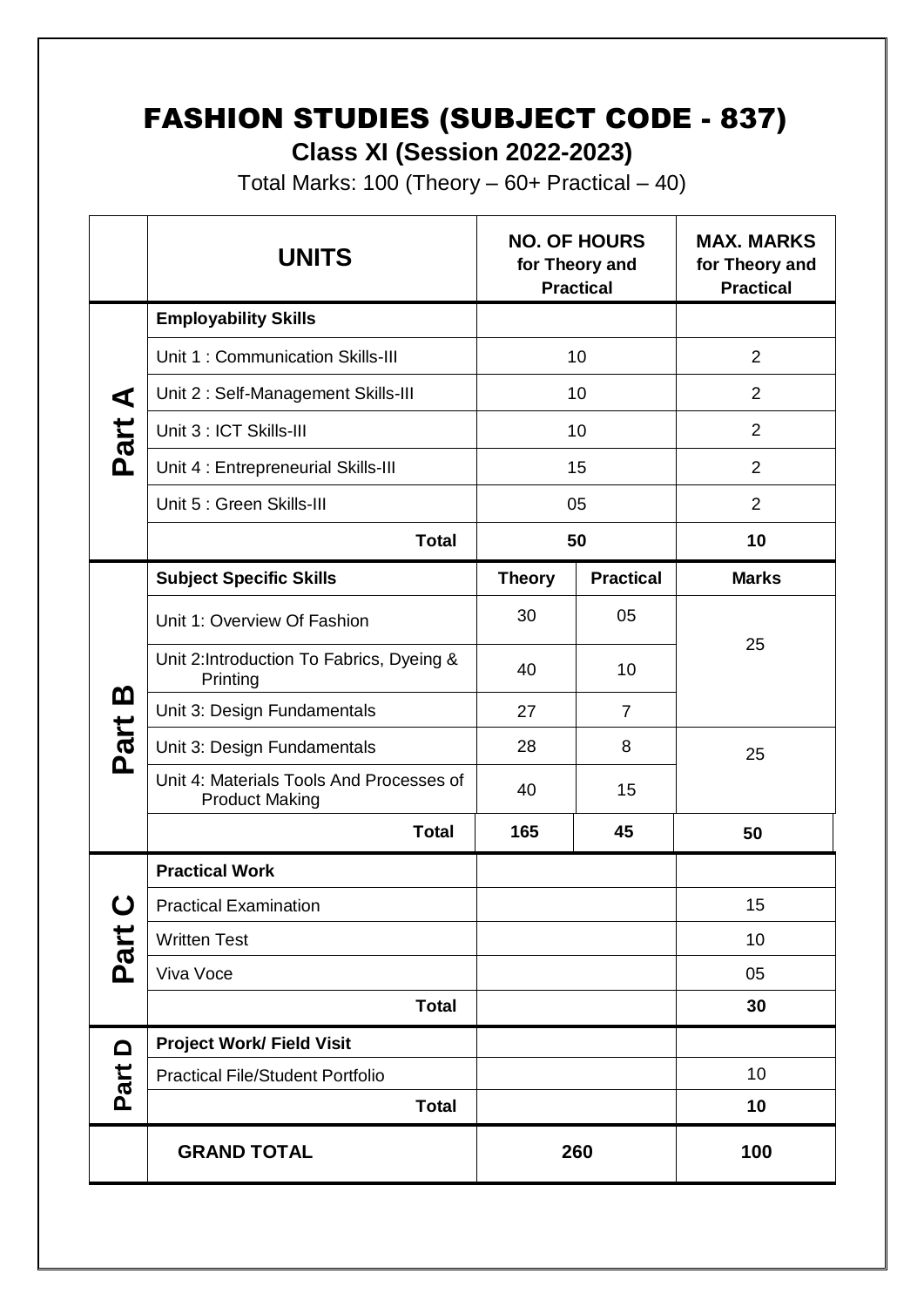# FASHION STUDIES (SUBJECT CODE - 837)

**Class XI (Session 2022-2023)**

Total Marks: 100 (Theory  $-60+$  Practical  $-40$ )

|                  | <b>UNITS</b>                                                      |               | <b>NO. OF HOURS</b><br>for Theory and<br><b>Practical</b> | <b>MAX. MARKS</b><br>for Theory and<br><b>Practical</b> |
|------------------|-------------------------------------------------------------------|---------------|-----------------------------------------------------------|---------------------------------------------------------|
|                  | <b>Employability Skills</b>                                       |               |                                                           |                                                         |
|                  | Unit 1: Communication Skills-III                                  | 10            |                                                           | $\overline{2}$                                          |
| ⋖                | Unit 2: Self-Management Skills-III                                | 10            |                                                           | $\overline{2}$                                          |
| Part             | Unit 3 : ICT Skills-III                                           | 10            |                                                           | $\overline{2}$                                          |
|                  | Unit 4 : Entrepreneurial Skills-III                               |               | 15                                                        | $\overline{2}$                                          |
|                  | Unit 5 : Green Skills-III                                         | 05            |                                                           | $\overline{2}$                                          |
|                  | <b>Total</b>                                                      | 50            |                                                           | 10                                                      |
|                  | <b>Subject Specific Skills</b>                                    | <b>Theory</b> | <b>Practical</b>                                          | <b>Marks</b>                                            |
|                  | Unit 1: Overview Of Fashion                                       | 30            | 05                                                        |                                                         |
|                  | Unit 2: Introduction To Fabrics, Dyeing &<br>Printing             | 40            | 10                                                        | 25                                                      |
| <u>ന</u>         | Unit 3: Design Fundamentals                                       | 27            | $\overline{7}$                                            |                                                         |
| Part             | Unit 3: Design Fundamentals                                       | 28            | 8                                                         | 25                                                      |
|                  | Unit 4: Materials Tools And Processes of<br><b>Product Making</b> | 40            | 15                                                        |                                                         |
|                  | <b>Total</b>                                                      | 165           | 45                                                        | 50                                                      |
|                  | <b>Practical Work</b>                                             |               |                                                           |                                                         |
| $\mathbf C$      | <b>Practical Examination</b>                                      |               |                                                           | 15                                                      |
| Part             | <b>Written Test</b>                                               |               |                                                           | 10                                                      |
|                  | Viva Voce                                                         |               |                                                           | 05                                                      |
|                  | <b>Total</b>                                                      |               |                                                           | 30                                                      |
| $\Omega$<br>Part | <b>Project Work/ Field Visit</b>                                  |               |                                                           |                                                         |
|                  | <b>Practical File/Student Portfolio</b>                           |               |                                                           | 10                                                      |
|                  | <b>Total</b>                                                      |               |                                                           | 10                                                      |
|                  | <b>GRAND TOTAL</b>                                                |               | 260                                                       | 100                                                     |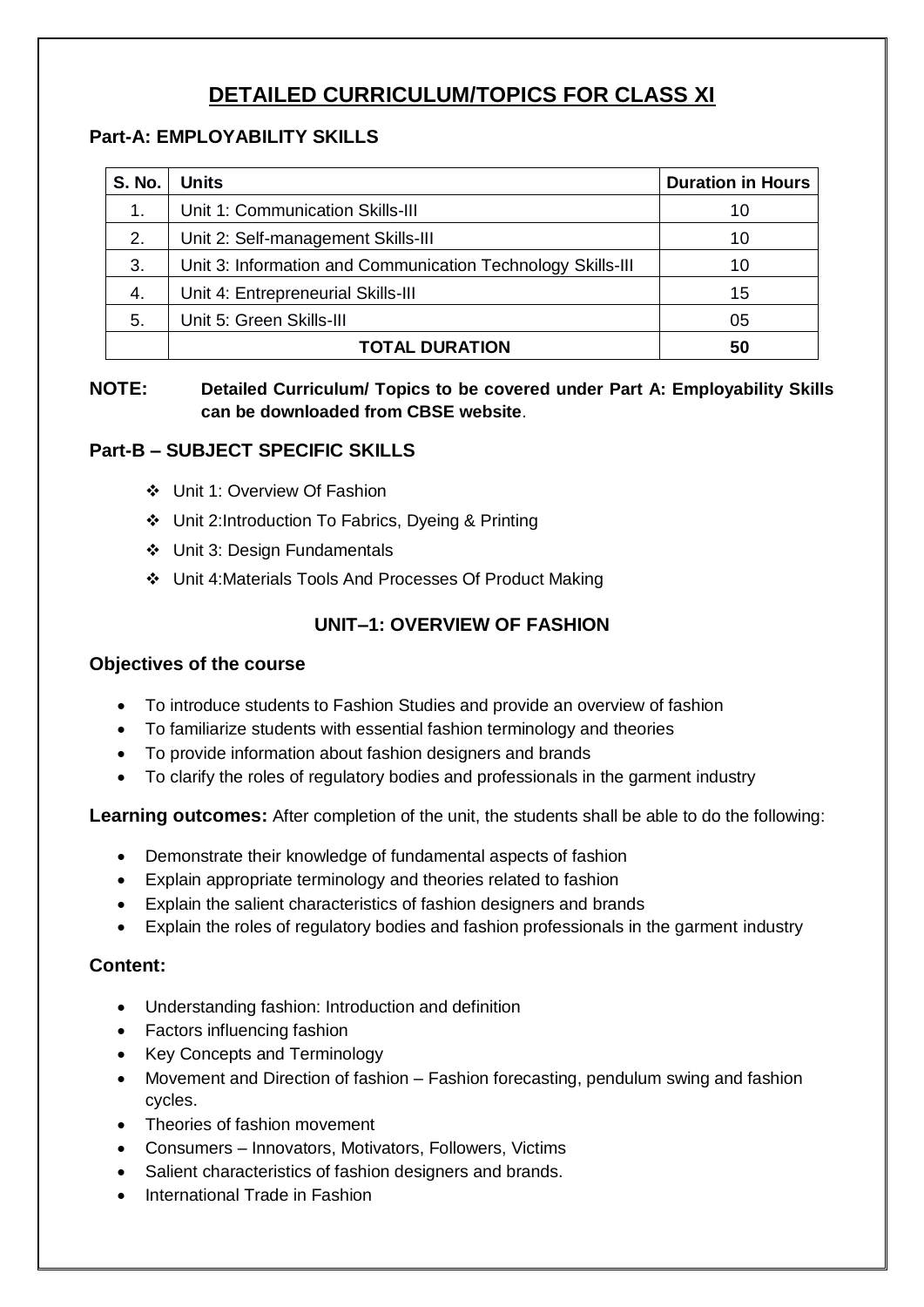# **DETAILED CURRICULUM/TOPICS FOR CLASS XI**

#### **Part-A: EMPLOYABILITY SKILLS**

| <b>S. No.</b> | <b>Units</b>                                                | <b>Duration in Hours</b> |
|---------------|-------------------------------------------------------------|--------------------------|
| 1.            | Unit 1: Communication Skills-III                            | 10                       |
| 2.            | Unit 2: Self-management Skills-III                          | 10                       |
| 3.            | Unit 3: Information and Communication Technology Skills-III | 10                       |
| 4.            | Unit 4: Entrepreneurial Skills-III                          | 15                       |
| 5.            | Unit 5: Green Skills-III                                    | 05                       |
|               | <b>TOTAL DURATION</b>                                       | 50                       |

#### **NOTE: Detailed Curriculum/ Topics to be covered under Part A: Employability Skills can be downloaded from CBSE website**.

# **Part-B – SUBJECT SPECIFIC SKILLS**

- Unit 1: Overview Of Fashion
- Unit 2:Introduction To Fabrics, Dyeing & Printing
- Unit 3: Design Fundamentals
- Unit 4:Materials Tools And Processes Of Product Making

# **UNIT–1: OVERVIEW OF FASHION**

#### **Objectives of the course**

- To introduce students to Fashion Studies and provide an overview of fashion
- To familiarize students with essential fashion terminology and theories
- To provide information about fashion designers and brands
- To clarify the roles of regulatory bodies and professionals in the garment industry

**Learning outcomes:** After completion of the unit, the students shall be able to do the following:

- Demonstrate their knowledge of fundamental aspects of fashion
- Explain appropriate terminology and theories related to fashion
- Explain the salient characteristics of fashion designers and brands
- Explain the roles of regulatory bodies and fashion professionals in the garment industry

# **Content:**

- Understanding fashion: Introduction and definition
- Factors influencing fashion
- Key Concepts and Terminology
- Movement and Direction of fashion Fashion forecasting, pendulum swing and fashion cycles.
- Theories of fashion movement
- Consumers Innovators, Motivators, Followers, Victims
- Salient characteristics of fashion designers and brands.
- International Trade in Fashion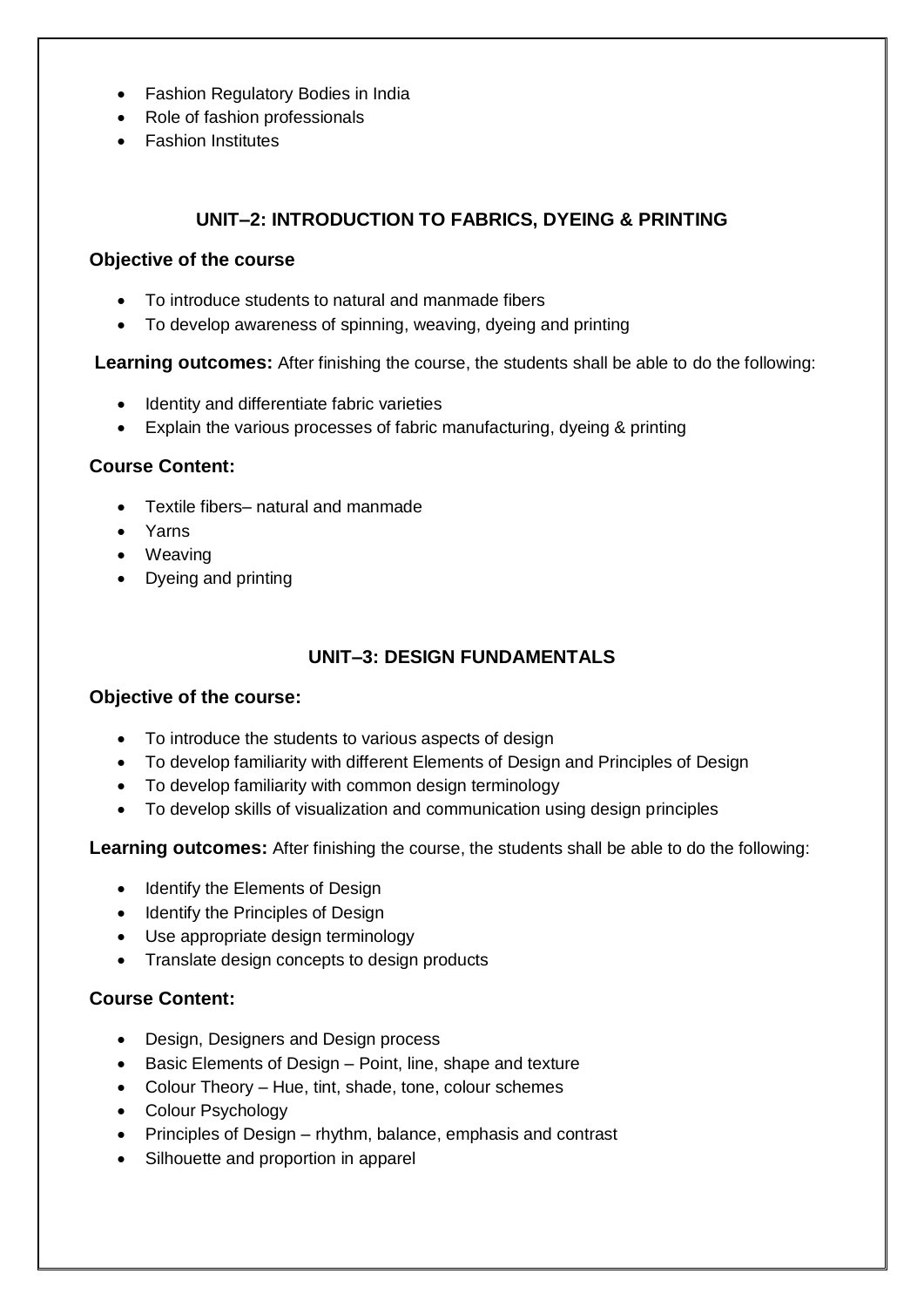- Fashion Regulatory Bodies in India
- Role of fashion professionals
- Fashion Institutes

# **UNIT–2: INTRODUCTION TO FABRICS, DYEING & PRINTING**

#### **Objective of the course**

- To introduce students to natural and manmade fibers
- To develop awareness of spinning, weaving, dyeing and printing

**Learning outcomes:** After finishing the course, the students shall be able to do the following:

- Identity and differentiate fabric varieties
- Explain the various processes of fabric manufacturing, dyeing & printing

#### **Course Content:**

- Textile fibers– natural and manmade
- Yarns
- Weaving
- Dyeing and printing

# **UNIT–3: DESIGN FUNDAMENTALS**

#### **Objective of the course:**

- To introduce the students to various aspects of design
- To develop familiarity with different Elements of Design and Principles of Design
- To develop familiarity with common design terminology
- To develop skills of visualization and communication using design principles

**Learning outcomes:** After finishing the course, the students shall be able to do the following:

- Identify the Elements of Design
- Identify the Principles of Design
- Use appropriate design terminology
- Translate design concepts to design products

#### **Course Content:**

- Design, Designers and Design process
- Basic Elements of Design Point, line, shape and texture
- Colour Theory Hue, tint, shade, tone, colour schemes
- Colour Psychology
- Principles of Design rhythm, balance, emphasis and contrast
- Silhouette and proportion in apparel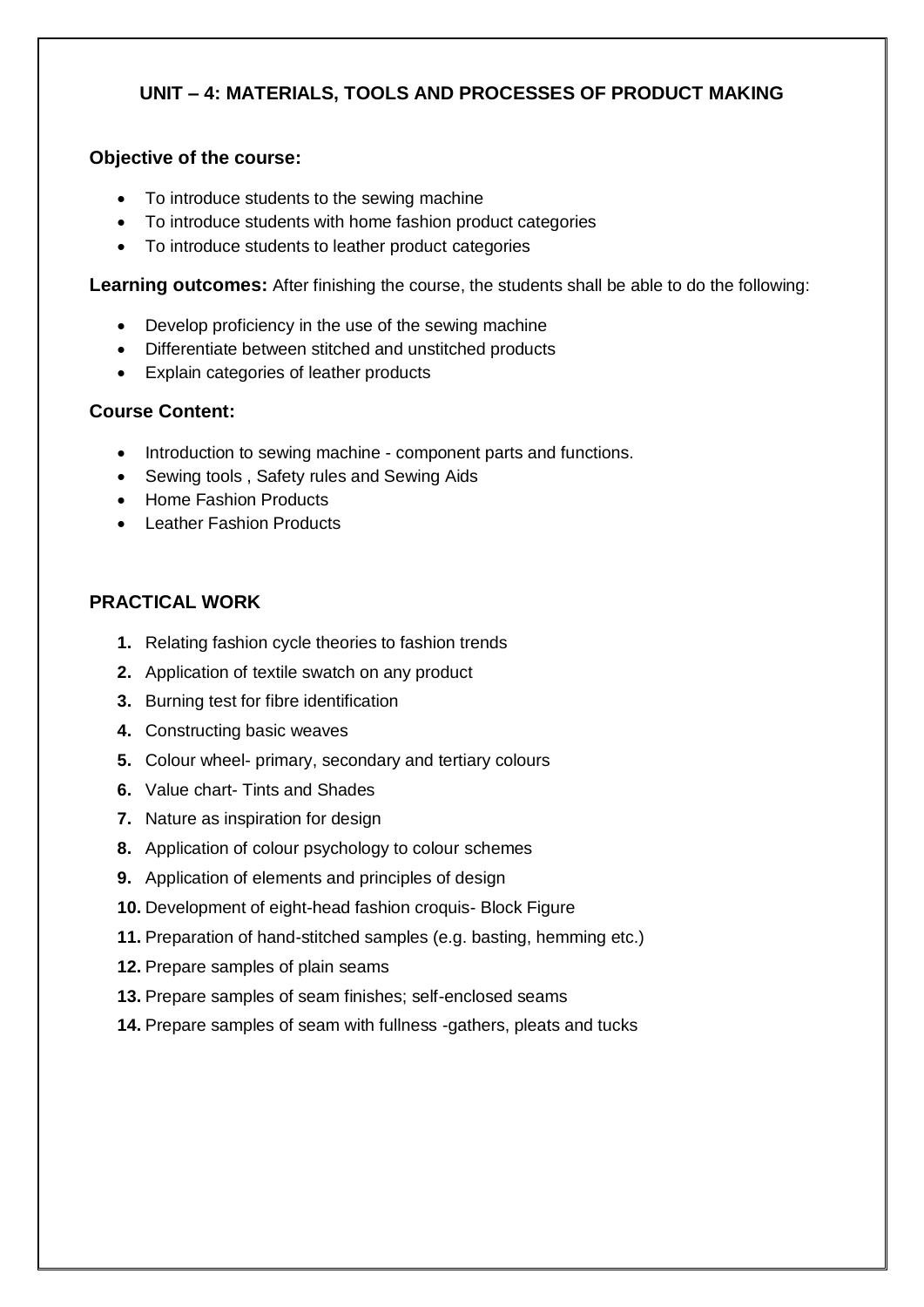# **UNIT – 4: MATERIALS, TOOLS AND PROCESSES OF PRODUCT MAKING**

#### **Objective of the course:**

- To introduce students to the sewing machine
- To introduce students with home fashion product categories
- To introduce students to leather product categories

**Learning outcomes:** After finishing the course, the students shall be able to do the following:

- Develop proficiency in the use of the sewing machine
- Differentiate between stitched and unstitched products
- Explain categories of leather products

#### **Course Content:**

- Introduction to sewing machine component parts and functions.
- Sewing tools, Safety rules and Sewing Aids
- Home Fashion Products
- Leather Fashion Products

#### **PRACTICAL WORK**

- **1.** Relating fashion cycle theories to fashion trends
- **2.** Application of textile swatch on any product
- **3.** Burning test for fibre identification
- **4.** Constructing basic weaves
- **5.** Colour wheel- primary, secondary and tertiary colours
- **6.** Value chart- Tints and Shades
- **7.** Nature as inspiration for design
- **8.** Application of colour psychology to colour schemes
- **9.** Application of elements and principles of design
- **10.** Development of eight-head fashion croquis- Block Figure
- **11.** Preparation of hand-stitched samples (e.g. basting, hemming etc.)
- **12.** Prepare samples of plain seams
- **13.** Prepare samples of seam finishes; self-enclosed seams
- **14.** Prepare samples of seam with fullness -gathers, pleats and tucks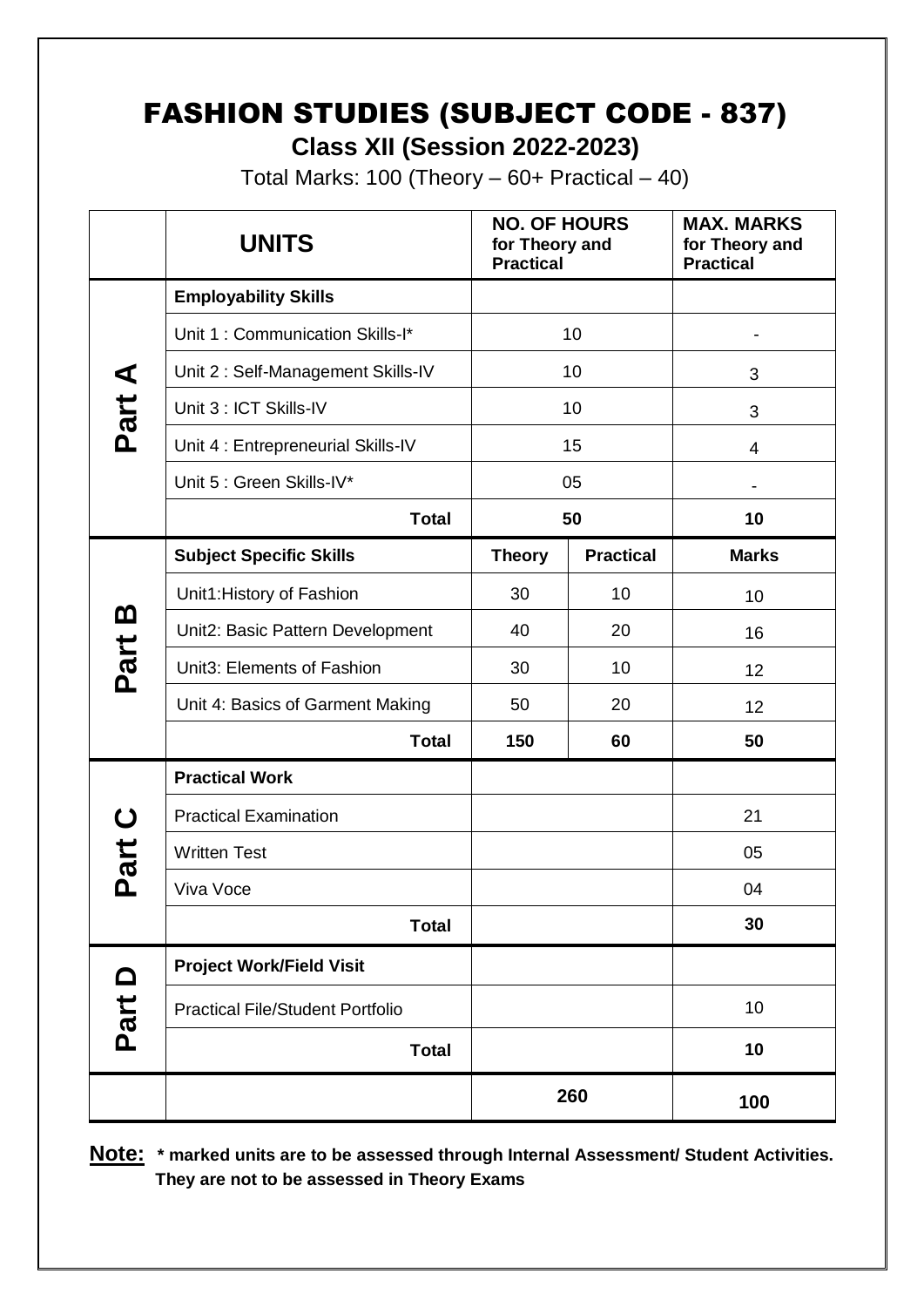# FASHION STUDIES (SUBJECT CODE - 837) **Class XII (Session 2022-2023)**

Total Marks: 100 (Theory  $-60+$  Practical  $-40$ )

|          | <b>UNITS</b>                            | <b>NO. OF HOURS</b><br>for Theory and<br><b>Practical</b> |                  | <b>MAX. MARKS</b><br>for Theory and<br><b>Practical</b> |
|----------|-----------------------------------------|-----------------------------------------------------------|------------------|---------------------------------------------------------|
|          | <b>Employability Skills</b>             |                                                           |                  |                                                         |
|          | Unit 1: Communication Skills-I*         | 10                                                        |                  | -                                                       |
|          | Unit 2: Self-Management Skills-IV       | 10                                                        |                  | 3                                                       |
| Part A   | Unit 3 : ICT Skills-IV                  | 10                                                        |                  | 3                                                       |
|          | Unit 4 : Entrepreneurial Skills-IV      | 15                                                        |                  | 4                                                       |
|          | Unit 5 : Green Skills-IV*               | 05                                                        |                  |                                                         |
|          | <b>Total</b>                            | 50                                                        |                  | 10                                                      |
|          | <b>Subject Specific Skills</b>          | <b>Theory</b>                                             | <b>Practical</b> | <b>Marks</b>                                            |
|          | Unit1: History of Fashion               | 30                                                        | 10               | 10                                                      |
| <u>ന</u> | Unit2: Basic Pattern Development        | 40                                                        | 20               | 16                                                      |
| Part     | Unit3: Elements of Fashion              | 30                                                        | 10               | 12                                                      |
|          | Unit 4: Basics of Garment Making        | 50                                                        | 20               | 12                                                      |
|          | <b>Total</b>                            | 150                                                       | 60               | 50                                                      |
|          | <b>Practical Work</b>                   |                                                           |                  |                                                         |
| ပ        | <b>Practical Examination</b>            |                                                           |                  | 21                                                      |
| Part     | <b>Written Test</b>                     |                                                           |                  | 05                                                      |
|          | Viva Voce                               |                                                           |                  | 04                                                      |
|          | <b>Total</b>                            |                                                           |                  | 30                                                      |
| Part D   | <b>Project Work/Field Visit</b>         |                                                           |                  |                                                         |
|          | <b>Practical File/Student Portfolio</b> |                                                           |                  | 10                                                      |
|          | <b>Total</b>                            |                                                           |                  | 10                                                      |
|          |                                         |                                                           | 260              | 100                                                     |

**Note: \* marked units are to be assessed through Internal Assessment/ Student Activities. They are not to be assessed in Theory Exams**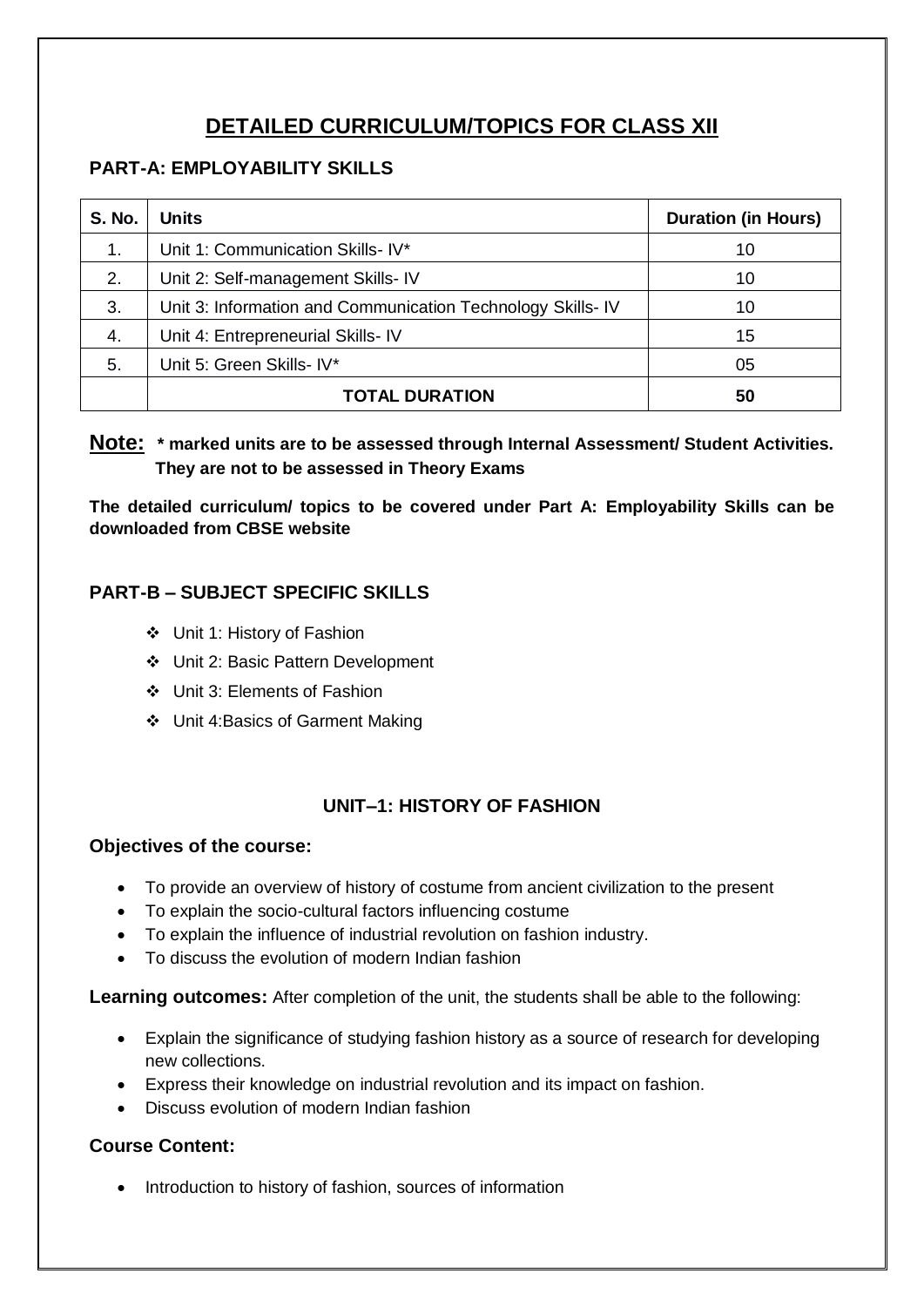# **DETAILED CURRICULUM/TOPICS FOR CLASS XII**

# **PART-A: EMPLOYABILITY SKILLS**

| <b>S. No.</b> | <b>Units</b>                                               | <b>Duration (in Hours)</b> |
|---------------|------------------------------------------------------------|----------------------------|
| 1.            | Unit 1: Communication Skills- IV*                          | 10                         |
| 2.            | Unit 2: Self-management Skills- IV                         | 10                         |
| 3.            | Unit 3: Information and Communication Technology Skills-IV | 10                         |
| 4.            | Unit 4: Entrepreneurial Skills- IV                         | 15                         |
| 5.            | Unit 5: Green Skills- IV*                                  | 05                         |
|               | <b>TOTAL DURATION</b>                                      | 50                         |

**Note: \* marked units are to be assessed through Internal Assessment/ Student Activities. They are not to be assessed in Theory Exams** 

**The detailed curriculum/ topics to be covered under Part A: Employability Skills can be downloaded from CBSE website**

# **PART-B – SUBJECT SPECIFIC SKILLS**

- Unit 1: History of Fashion
- Unit 2: Basic Pattern Development
- Unit 3: Elements of Fashion
- Unit 4:Basics of Garment Making

# **UNIT–1: HISTORY OF FASHION**

#### **Objectives of the course:**

- To provide an overview of history of costume from ancient civilization to the present
- To explain the socio-cultural factors influencing costume
- To explain the influence of industrial revolution on fashion industry.
- To discuss the evolution of modern Indian fashion

**Learning outcomes:** After completion of the unit, the students shall be able to the following:

- Explain the significance of studying fashion history as a source of research for developing new collections.
- Express their knowledge on industrial revolution and its impact on fashion.
- Discuss evolution of modern Indian fashion

# **Course Content:**

• Introduction to history of fashion, sources of information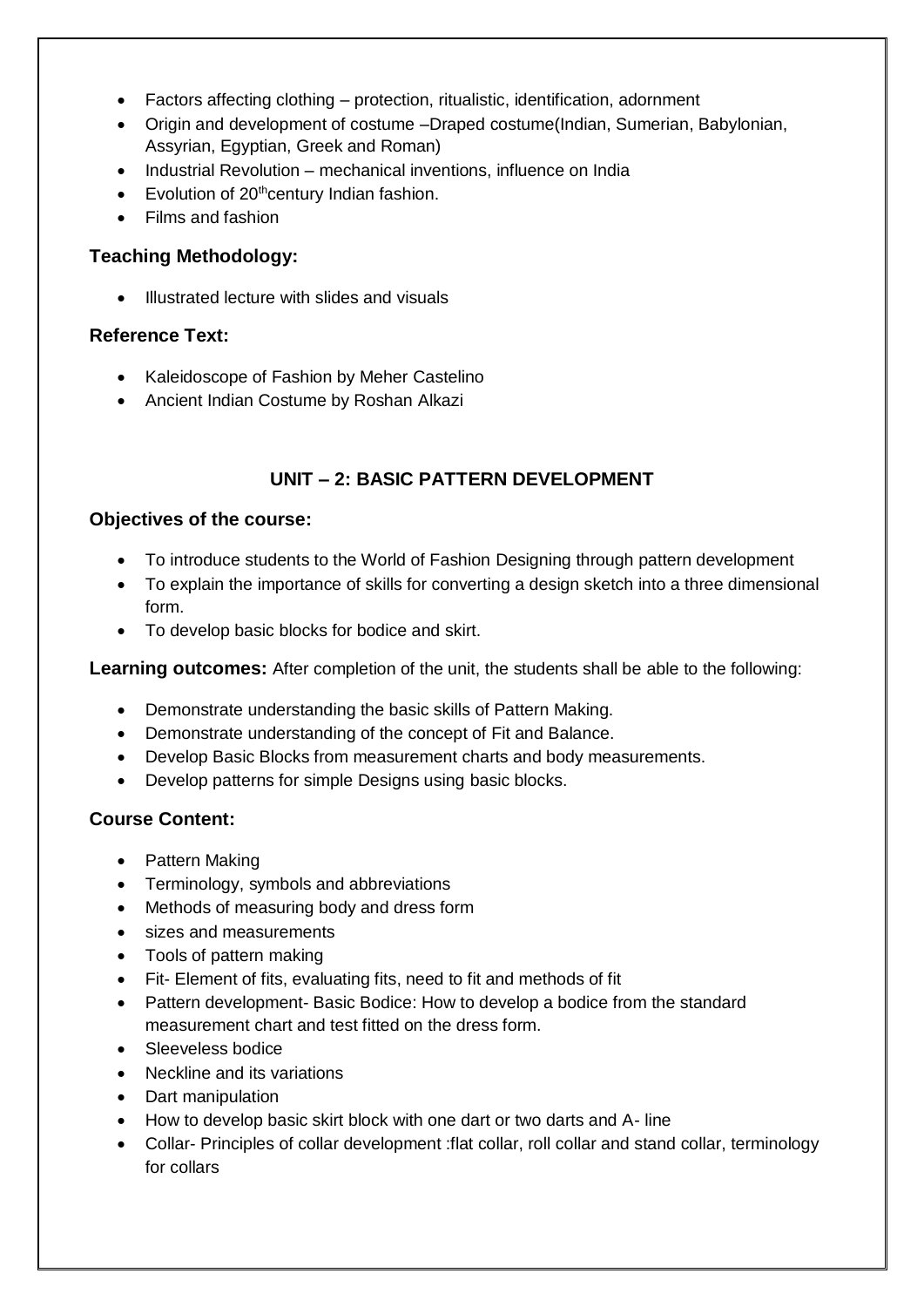- Factors affecting clothing protection, ritualistic, identification, adornment
- Origin and development of costume –Draped costume(Indian, Sumerian, Babylonian, Assyrian, Egyptian, Greek and Roman)
- Industrial Revolution mechanical inventions, influence on India
- $\bullet$  Evolution of 20<sup>th</sup>century Indian fashion.
- Films and fashion

#### **Teaching Methodology:**

• Illustrated lecture with slides and visuals

#### **Reference Text:**

- Kaleidoscope of Fashion by Meher Castelino
- Ancient Indian Costume by Roshan Alkazi

# **UNIT – 2: BASIC PATTERN DEVELOPMENT**

#### **Objectives of the course:**

- To introduce students to the World of Fashion Designing through pattern development
- To explain the importance of skills for converting a design sketch into a three dimensional form.
- To develop basic blocks for bodice and skirt.

**Learning outcomes:** After completion of the unit, the students shall be able to the following:

- Demonstrate understanding the basic skills of Pattern Making.
- Demonstrate understanding of the concept of Fit and Balance.
- Develop Basic Blocks from measurement charts and body measurements.
- Develop patterns for simple Designs using basic blocks.

#### **Course Content:**

- Pattern Making
- Terminology, symbols and abbreviations
- Methods of measuring body and dress form
- sizes and measurements
- Tools of pattern making
- Fit- Element of fits, evaluating fits, need to fit and methods of fit
- Pattern development- Basic Bodice: How to develop a bodice from the standard measurement chart and test fitted on the dress form.
- Sleeveless bodice
- Neckline and its variations
- Dart manipulation
- How to develop basic skirt block with one dart or two darts and A- line
- Collar- Principles of collar development :flat collar, roll collar and stand collar, terminology for collars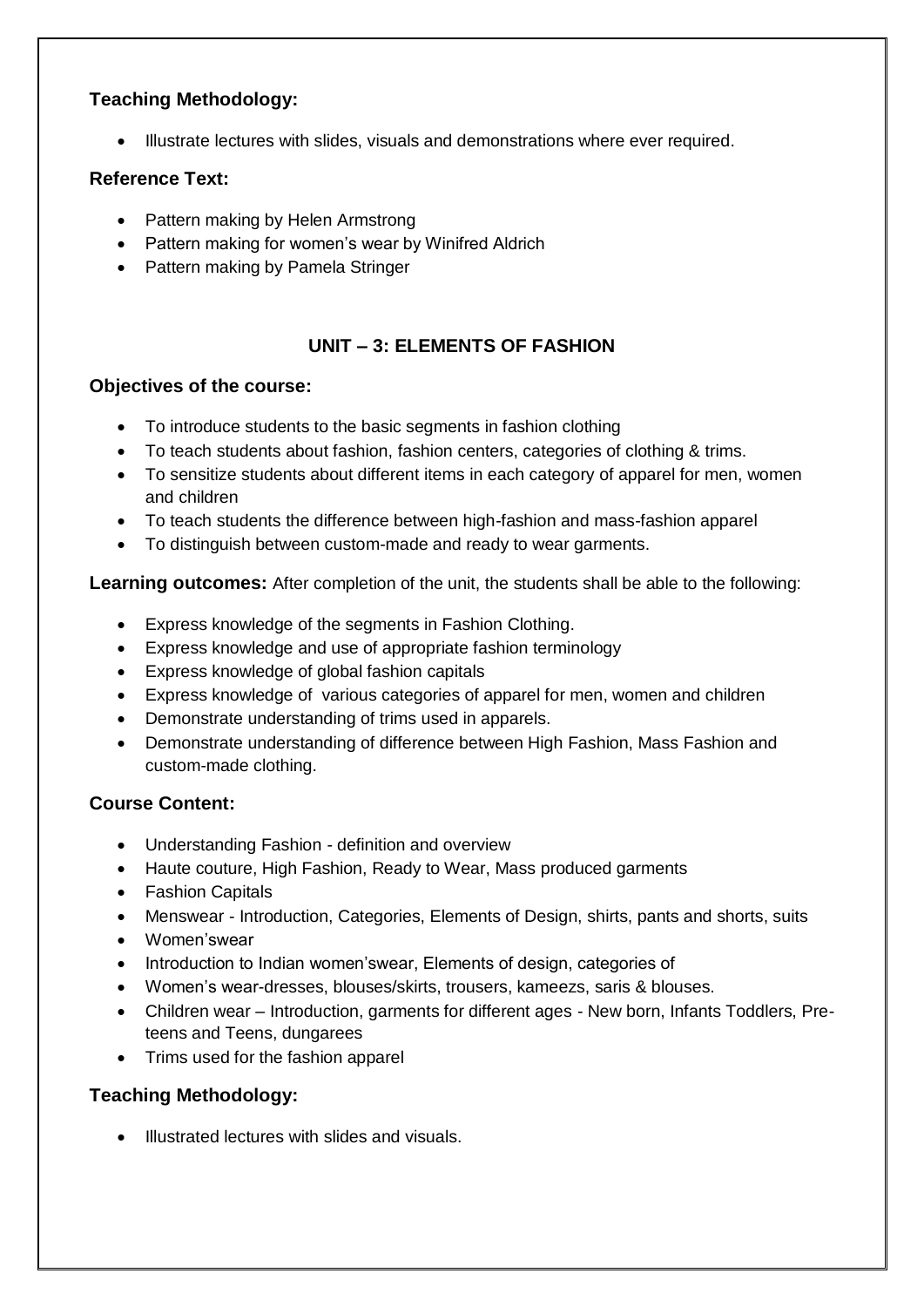# **Teaching Methodology:**

Illustrate lectures with slides, visuals and demonstrations where ever required.

# **Reference Text:**

- Pattern making by Helen Armstrong
- Pattern making for women's wear by Winifred Aldrich
- Pattern making by Pamela Stringer

# **UNIT – 3: ELEMENTS OF FASHION**

#### **Objectives of the course:**

- To introduce students to the basic segments in fashion clothing
- To teach students about fashion, fashion centers, categories of clothing & trims.
- To sensitize students about different items in each category of apparel for men, women and children
- To teach students the difference between high-fashion and mass-fashion apparel
- To distinguish between custom-made and ready to wear garments.

**Learning outcomes:** After completion of the unit, the students shall be able to the following:

- Express knowledge of the segments in Fashion Clothing.
- Express knowledge and use of appropriate fashion terminology
- Express knowledge of global fashion capitals
- Express knowledge of various categories of apparel for men, women and children
- Demonstrate understanding of trims used in apparels.
- Demonstrate understanding of difference between High Fashion, Mass Fashion and custom-made clothing.

# **Course Content:**

- Understanding Fashion definition and overview
- Haute couture, High Fashion, Ready to Wear, Mass produced garments
- Fashion Capitals
- Menswear Introduction, Categories, Elements of Design, shirts, pants and shorts, suits
- Women'swear
- Introduction to Indian women'swear, Elements of design, categories of
- Women's wear-dresses, blouses/skirts, trousers, kameezs, saris & blouses.
- Children wear Introduction, garments for different ages New born, Infants Toddlers, Preteens and Teens, dungarees
- Trims used for the fashion apparel

# **Teaching Methodology:**

 $\bullet$  Illustrated lectures with slides and visuals.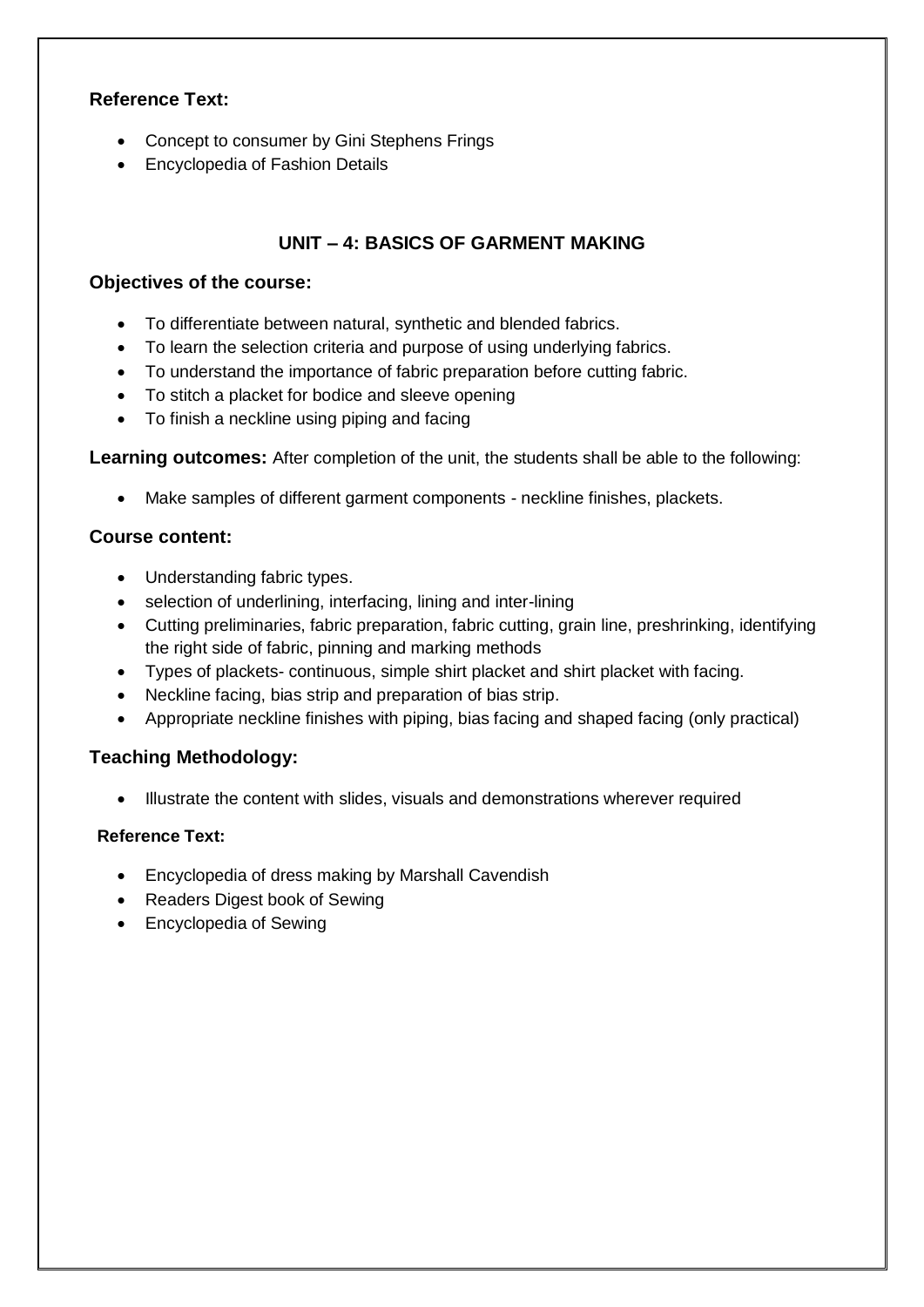#### **Reference Text:**

- Concept to consumer by Gini Stephens Frings
- Encyclopedia of Fashion Details

# **UNIT – 4: BASICS OF GARMENT MAKING**

#### **Objectives of the course:**

- To differentiate between natural, synthetic and blended fabrics.
- To learn the selection criteria and purpose of using underlying fabrics.
- To understand the importance of fabric preparation before cutting fabric.
- To stitch a placket for bodice and sleeve opening
- To finish a neckline using piping and facing

**Learning outcomes:** After completion of the unit, the students shall be able to the following:

Make samples of different garment components - neckline finishes, plackets.

#### **Course content:**

- Understanding fabric types.
- selection of underlining, interfacing, lining and inter-lining
- Cutting preliminaries, fabric preparation, fabric cutting, grain line, preshrinking, identifying the right side of fabric, pinning and marking methods
- Types of plackets- continuous, simple shirt placket and shirt placket with facing.
- Neckline facing, bias strip and preparation of bias strip.
- Appropriate neckline finishes with piping, bias facing and shaped facing (only practical)

#### **Teaching Methodology:**

Illustrate the content with slides, visuals and demonstrations wherever required

#### **Reference Text:**

- Encyclopedia of dress making by Marshall Cavendish
- Readers Digest book of Sewing
- Encyclopedia of Sewing